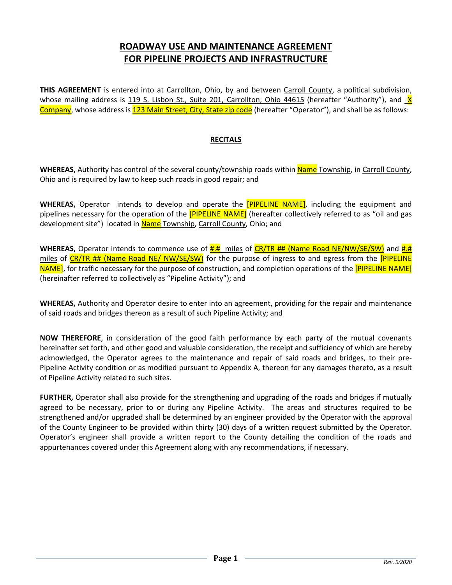## **ROADWAY USE AND MAINTENANCE AGREEMENT FOR PIPELINE PROJECTS AND INFRASTRUCTURE**

THIS AGREEMENT is entered into at Carrollton, Ohio, by and between Carroll County, a political subdivision, whose mailing address is 119 S. Lisbon St., Suite 201, Carrollton, Ohio  $44615$  (hereafter "Authority"), and  $X$ Company, whose address is 123 Main Street, City, State zip code (hereafter "Operator"), and shall be as follows:

## **RECITALS**

**WHEREAS,** Authority has control of the several county/township roads within Name Township, in Carroll County, Ohio and is required by law to keep such roads in good repair; and

**WHEREAS,** Operator intends to develop and operate the [PIPELINE NAME], including the equipment and pipelines necessary for the operation of the **[PIPELINE NAME]** (hereafter collectively referred to as "oil and gas development site") located in Name Township, Carroll County, Ohio; and

WHEREAS, Operator intends to commence use of  $\frac{H.H}{H}$  miles of CR/TR ## (Name Road NE/NW/SE/SW) and #.# miles of CR/TR ## (Name Road NE/ NW/SE/SW) for the purpose of ingress to and egress from the [PIPELINE NAME], for traffic necessary for the purpose of construction, and completion operations of the [PIPELINE NAME] (hereinafter referred to collectively as "Pipeline Activity"); and

**WHEREAS,** Authority and Operator desire to enter into an agreement, providing for the repair and maintenance of said roads and bridges thereon as a result of such Pipeline Activity; and

**NOW THEREFORE**, in consideration of the good faith performance by each party of the mutual covenants hereinafter set forth, and other good and valuable consideration, the receipt and sufficiency of which are hereby acknowledged, the Operator agrees to the maintenance and repair of said roads and bridges, to their pre-Pipeline Activity condition or as modified pursuant to Appendix A, thereon for any damages thereto, as a result of Pipeline Activity related to such sites.

**FURTHER,** Operator shall also provide for the strengthening and upgrading of the roads and bridges if mutually agreed to be necessary, prior to or during any Pipeline Activity. The areas and structures required to be strengthened and/or upgraded shall be determined by an engineer provided by the Operator with the approval of the County Engineer to be provided within thirty (30) days of a written request submitted by the Operator. Operator's engineer shall provide a written report to the County detailing the condition of the roads and appurtenances covered under this Agreement along with any recommendations, if necessary.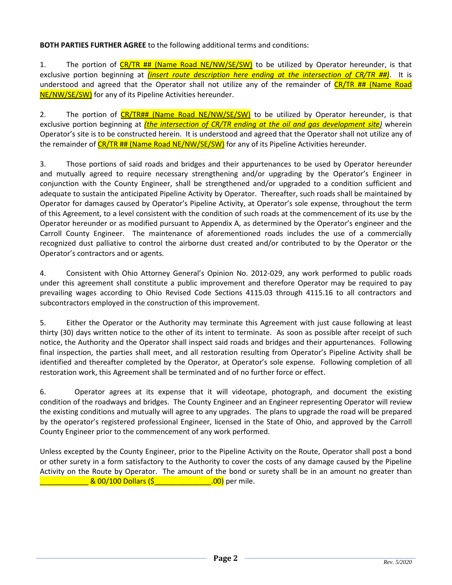## **BOTH PARTIES FURTHER AGREE** to the following additional terms and conditions:

1. The portion of CR/TR ## (Name Road NE/NW/SE/SW) to be utilized by Operator hereunder, is that exclusive portion beginning at *(insert route description here ending at the intersection of CR/TR ##)*. It is understood and agreed that the Operator shall not utilize any of the remainder of CR/TR ## (Name Road NE/NW/SE/SW) for any of its Pipeline Activities hereunder.

2. The portion of CR/TR## (Name Road NE/NW/SE/SW) to be utilized by Operator hereunder, is that exclusive portion beginning at *(the intersection of CR/TR ending at the oil and gas development site)* wherein Operator's site is to be constructed herein. It is understood and agreed that the Operator shall not utilize any of the remainder of CR/TR ## (Name Road NE/NW/SE/SW) for any of its Pipeline Activities hereunder.

3. Those portions of said roads and bridges and their appurtenances to be used by Operator hereunder and mutually agreed to require necessary strengthening and/or upgrading by the Operator's Engineer in conjunction with the County Engineer, shall be strengthened and/or upgraded to a condition sufficient and adequate to sustain the anticipated Pipeline Activity by Operator. Thereafter, such roads shall be maintained by Operator for damages caused by Operator's Pipeline Activity, at Operator's sole expense, throughout the term of this Agreement, to a level consistent with the condition of such roads at the commencement of its use by the Operator hereunder or as modified pursuant to Appendix A, as determined by the Operator's engineer and the Carroll County Engineer. The maintenance of aforementioned roads includes the use of a commercially recognized dust palliative to control the airborne dust created and/or contributed to by the Operator or the Operator's contractors and or agents.

4. Consistent with Ohio Attorney General's Opinion No. 2012-029, any work performed to public roads under this agreement shall constitute a public improvement and therefore Operator may be required to pay prevailing wages according to Ohio Revised Code Sections 4115.03 through 4115.16 to all contractors and subcontractors employed in the construction of this improvement.

5. Either the Operator or the Authority may terminate this Agreement with just cause following at least thirty (30) days written notice to the other of its intent to terminate. As soon as possible after receipt of such notice, the Authority and the Operator shall inspect said roads and bridges and their appurtenances. Following final inspection, the parties shall meet, and all restoration resulting from Operator's Pipeline Activity shall be identified and thereafter completed by the Operator, at Operator's sole expense. Following completion of all restoration work, this Agreement shall be terminated and of no further force or effect.

6. Operator agrees at its expense that it will videotape, photograph, and document the existing condition of the roadways and bridges. The County Engineer and an Engineer representing Operator will review the existing conditions and mutually will agree to any upgrades. The plans to upgrade the road will be prepared by the operator's registered professional Engineer, licensed in the State of Ohio, and approved by the Carroll County Engineer prior to the commencement of any work performed.

Unless excepted by the County Engineer, prior to the Pipeline Activity on the Route, Operator shall post a bond or other surety in a form satisfactory to the Authority to cover the costs of any damage caused by the Pipeline Activity on the Route by Operator. The amount of the bond or surety shall be in an amount no greater than \_\_\_\_\_\_\_\_\_\_\_\_ & 00/100 Dollars (\$\_\_\_\_\_\_\_\_\_\_\_\_\_\_.00) per mile.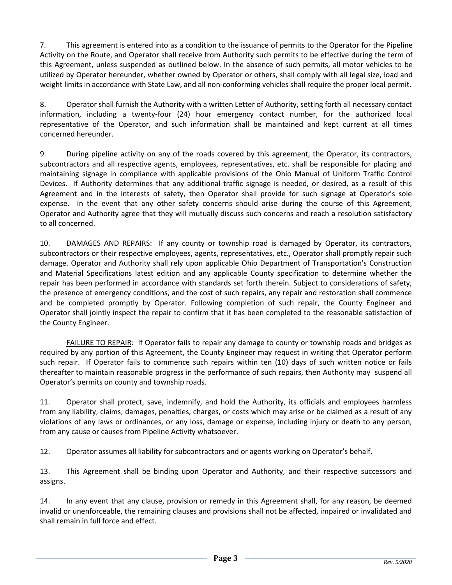7. This agreement is entered into as a condition to the issuance of permits to the Operator for the Pipeline Activity on the Route, and Operator shall receive from Authority such permits to be effective during the term of this Agreement, unless suspended as outlined below. In the absence of such permits, all motor vehicles to be utilized by Operator hereunder, whether owned by Operator or others, shall comply with all legal size, load and weight limits in accordance with State Law, and all non-conforming vehicles shall require the proper local permit.

8. Operator shall furnish the Authority with a written Letter of Authority, setting forth all necessary contact information, including a twenty-four (24) hour emergency contact number, for the authorized local representative of the Operator, and such information shall be maintained and kept current at all times concerned hereunder.

9. During pipeline activity on any of the roads covered by this agreement, the Operator, its contractors, subcontractors and all respective agents, employees, representatives, etc. shall be responsible for placing and maintaining signage in compliance with applicable provisions of the Ohio Manual of Uniform Traffic Control Devices. If Authority determines that any additional traffic signage is needed, or desired, as a result of this Agreement and in the interests of safety, then Operator shall provide for such signage at Operator's sole expense. In the event that any other safety concerns should arise during the course of this Agreement, Operator and Authority agree that they will mutually discuss such concerns and reach a resolution satisfactory to all concerned.

10. DAMAGES AND REPAIRS: If any county or township road is damaged by Operator, its contractors, subcontractors or their respective employees, agents, representatives, etc., Operator shall promptly repair such damage. Operator and Authority shall rely upon applicable Ohio Department of Transportation's Construction and Material Specifications latest edition and any applicable County specification to determine whether the repair has been performed in accordance with standards set forth therein. Subject to considerations of safety, the presence of emergency conditions, and the cost of such repairs, any repair and restoration shall commence and be completed promptly by Operator. Following completion of such repair, the County Engineer and Operator shall jointly inspect the repair to confirm that it has been completed to the reasonable satisfaction of the County Engineer.

FAILURE TO REPAIR: If Operator fails to repair any damage to county or township roads and bridges as required by any portion of this Agreement, the County Engineer may request in writing that Operator perform such repair. If Operator fails to commence such repairs within ten (10) days of such written notice or fails thereafter to maintain reasonable progress in the performance of such repairs, then Authority may suspend all Operator's permits on county and township roads.

11. Operator shall protect, save, indemnify, and hold the Authority, its officials and employees harmless from any liability, claims, damages, penalties, charges, or costs which may arise or be claimed as a result of any violations of any laws or ordinances, or any loss, damage or expense, including injury or death to any person, from any cause or causes from Pipeline Activity whatsoever.

12. Operator assumes all liability for subcontractors and or agents working on Operator's behalf.

13. This Agreement shall be binding upon Operator and Authority, and their respective successors and assigns.

14. In any event that any clause, provision or remedy in this Agreement shall, for any reason, be deemed invalid or unenforceable, the remaining clauses and provisions shall not be affected, impaired or invalidated and shall remain in full force and effect.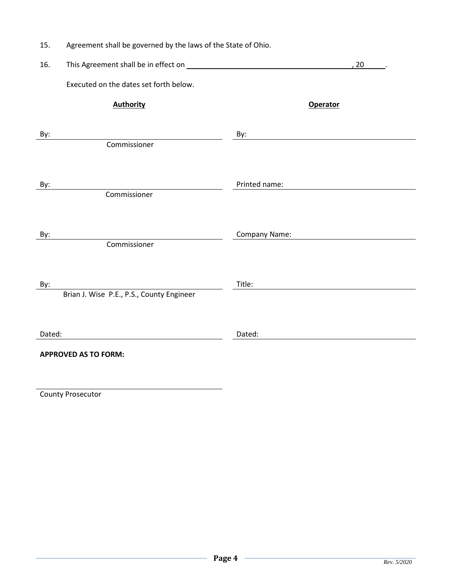| 15. |  |  | Agreement shall be governed by the laws of the State of Ohio. |
|-----|--|--|---------------------------------------------------------------|
|-----|--|--|---------------------------------------------------------------|

| 16.    | This Agreement shall be in effect on <b>Example 20</b> and 20 and 20 and 20 and 20 and 20 and 20 and 20 and 20 and 20 and 20 and 20 and 20 and 20 and 20 and 20 and 20 and 20 and 20 and 20 and 20 and 20 and 20 and 20 and 20 and |                 | 20 |
|--------|------------------------------------------------------------------------------------------------------------------------------------------------------------------------------------------------------------------------------------|-----------------|----|
|        | Executed on the dates set forth below.                                                                                                                                                                                             |                 |    |
|        | <b>Authority</b>                                                                                                                                                                                                                   | <b>Operator</b> |    |
| By:    | Commissioner                                                                                                                                                                                                                       | By:             |    |
| By:    | Commissioner                                                                                                                                                                                                                       | Printed name:   |    |
| By:    | Commissioner                                                                                                                                                                                                                       | Company Name:   |    |
| By:    | Brian J. Wise P.E., P.S., County Engineer                                                                                                                                                                                          | Title:          |    |
| Dated: |                                                                                                                                                                                                                                    | Dated:          |    |
|        | <b>APPROVED AS TO FORM:</b>                                                                                                                                                                                                        |                 |    |

County Prosecutor